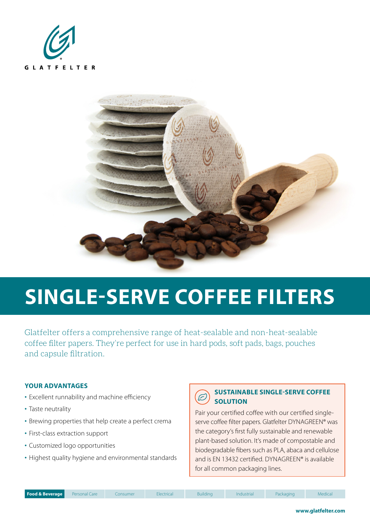



# **SINGLE-SERVE COFFEE FILTERS**

Glatfelter offers a comprehensive range of heat-sealable and non-heat-sealable coffee filter papers. They're perfect for use in hard pods, soft pads, bags, pouches and capsule filtration.

#### **YOUR ADVANTAGES**

- Excellent runnability and machine efficiency
- Taste neutrality
- Brewing properties that help create a perfect crema
- First-class extraction support
- Customized logo opportunities
- Highest quality hygiene and environmental standards

#### **SUSTAINABLE SINGLE-SERVE COFFEE**  $\widetilde{\varepsilon}$ **SOLUTION**

Pair your certified coffee with our certified singleserve coffee filter papers. Glatfelter DYNAGREEN® was the category's first fully sustainable and renewable plant-based solution. It's made of compostable and biodegradable fibers such as PLA, abaca and cellulose and is EN 13432 certified. DYNAGREEN® is available for all common packaging lines.